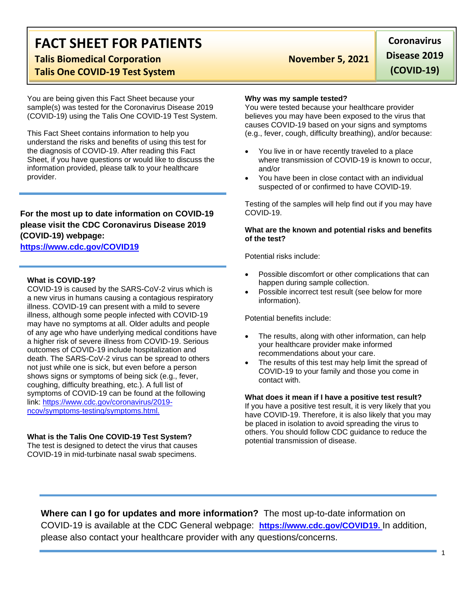# **FACT SHEET FOR PATIENTS**

### **Talis Biomedical Corporation November 5, 2021 Talis One COVID-19 Test System**

You are being given this Fact Sheet because your sample(s) was tested for the Coronavirus Disease 2019 (COVID-19) using the Talis One COVID-19 Test System.

This Fact Sheet contains information to help you understand the risks and benefits of using this test for the diagnosis of COVID-19. After reading this Fact Sheet, if you have questions or would like to discuss the information provided, please talk to your healthcare provider.

### **For the most up to date information on COVID-19 please visit the CDC Coronavirus Disease 2019 (COVID-19) webpage:**

### **[https://www.cdc.gov/COVID19](https://www.cdc.gov/nCoV)**

#### **What is COVID-19?**

COVID-19 is caused by the SARS-CoV-2 virus which is a new virus in humans causing a contagious respiratory illness. COVID-19 can present with a mild to severe illness, although some people infected with COVID-19 may have no symptoms at all. Older adults and people of any age who have underlying medical conditions have a higher risk of severe illness from COVID-19. Serious outcomes of COVID-19 include hospitalization and death. The SARS-CoV-2 virus can be spread to others not just while one is sick, but even before a person shows signs or symptoms of being sick (e.g., fever, coughing, difficulty breathing, etc.). A full list of symptoms of COVID-19 can be found at the following link: [https://www.cdc.gov/coronavirus/2019](https://www.cdc.gov/coronavirus/2019-ncov/symptoms-testing/symptoms.html) [ncov/symptoms-testing/symptoms.html.](https://www.cdc.gov/coronavirus/2019-ncov/symptoms-testing/symptoms.html)

#### **What is the Talis One COVID-19 Test System?**

The test is designed to detect the virus that causes COVID-19 in mid-turbinate nasal swab specimens.

#### **Why was my sample tested?**

You were tested because your healthcare provider believes you may have been exposed to the virus that causes COVID-19 based on your signs and symptoms (e.g., fever, cough, difficulty breathing), and/or because:

- You live in or have recently traveled to a place where transmission of COVID-19 is known to occur. and/or
- You have been in close contact with an individual suspected of or confirmed to have COVID-19.

Testing of the samples will help find out if you may have COVID-19.

#### **What are the known and potential risks and benefits of the test?**

Potential risks include:

- Possible discomfort or other complications that can happen during sample collection.
- Possible incorrect test result (see below for more information).

Potential benefits include:

- The results, along with other information, can help your healthcare provider make informed recommendations about your care.
- The results of this test may help limit the spread of COVID-19 to your family and those you come in contact with.

#### **What does it mean if I have a positive test result?**

If you have a positive test result, it is very likely that you have COVID-19. Therefore, it is also likely that you may be placed in isolation to avoid spreading the virus to others. You should follow CDC guidance to reduce the potential transmission of disease.

**Where can I go for updates and more information?** The most up-to-date information on COVID-19 is available at the CDC General webpage: **[https://www.cdc.gov/COVID19.](https://www.cdc.gov/nCoV)** In addition, please also contact your healthcare provider with any questions/concerns.

# **Coronavirus Disease 2019**

**(COVID-19)**

1